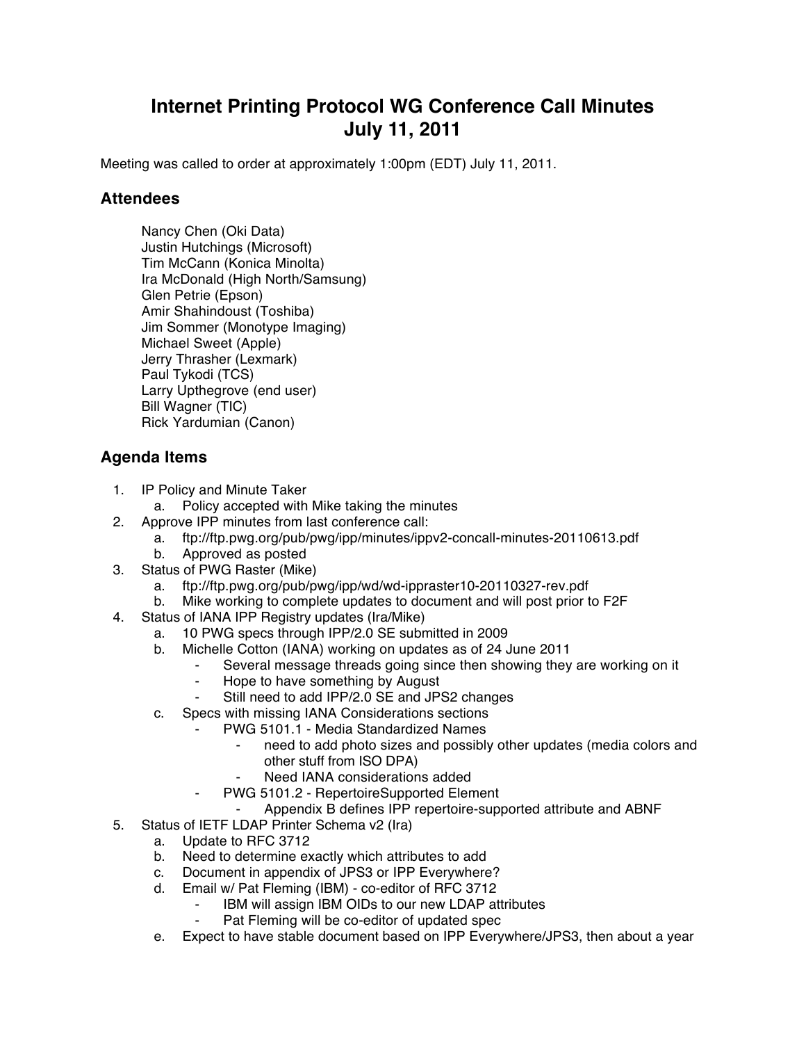## **Internet Printing Protocol WG Conference Call Minutes July 11, 2011**

Meeting was called to order at approximately 1:00pm (EDT) July 11, 2011.

## **Attendees**

Nancy Chen (Oki Data) Justin Hutchings (Microsoft) Tim McCann (Konica Minolta) Ira McDonald (High North/Samsung) Glen Petrie (Epson) Amir Shahindoust (Toshiba) Jim Sommer (Monotype Imaging) Michael Sweet (Apple) Jerry Thrasher (Lexmark) Paul Tykodi (TCS) Larry Upthegrove (end user) Bill Wagner (TIC) Rick Yardumian (Canon)

## **Agenda Items**

- 1. IP Policy and Minute Taker
	- a. Policy accepted with Mike taking the minutes
- 2. Approve IPP minutes from last conference call:
	- a. ftp://ftp.pwg.org/pub/pwg/ipp/minutes/ippv2-concall-minutes-20110613.pdf
	- b. Approved as posted
- 3. Status of PWG Raster (Mike)
	- a. ftp://ftp.pwg.org/pub/pwg/ipp/wd/wd-ippraster10-20110327-rev.pdf
	- b. Mike working to complete updates to document and will post prior to F2F
- 4. Status of IANA IPP Registry updates (Ira/Mike)
	- a. 10 PWG specs through IPP/2.0 SE submitted in 2009
	- b. Michelle Cotton (IANA) working on updates as of 24 June 2011
		- Several message threads going since then showing they are working on it
			- Hope to have something by August
			- Still need to add IPP/2.0 SE and JPS2 changes
	- c. Specs with missing IANA Considerations sections
		- PWG 5101.1 Media Standardized Names
			- need to add photo sizes and possibly other updates (media colors and other stuff from ISO DPA)
			- Need IANA considerations added
			- PWG 5101.2 RepertoireSupported Element
				- Appendix B defines IPP repertoire-supported attribute and ABNF
- 5. Status of IETF LDAP Printer Schema v2 (Ira)
	- a. Update to RFC 3712
		- b. Need to determine exactly which attributes to add
		- c. Document in appendix of JPS3 or IPP Everywhere?
		- d. Email w/ Pat Fleming (IBM) co-editor of RFC 3712
			- Fight IBM will assign IBM OIDs to our new LDAP attributes<br>Fight Fleming will be co-editor of undated spectrum
				- Pat Fleming will be co-editor of updated spec
		- e. Expect to have stable document based on IPP Everywhere/JPS3, then about a year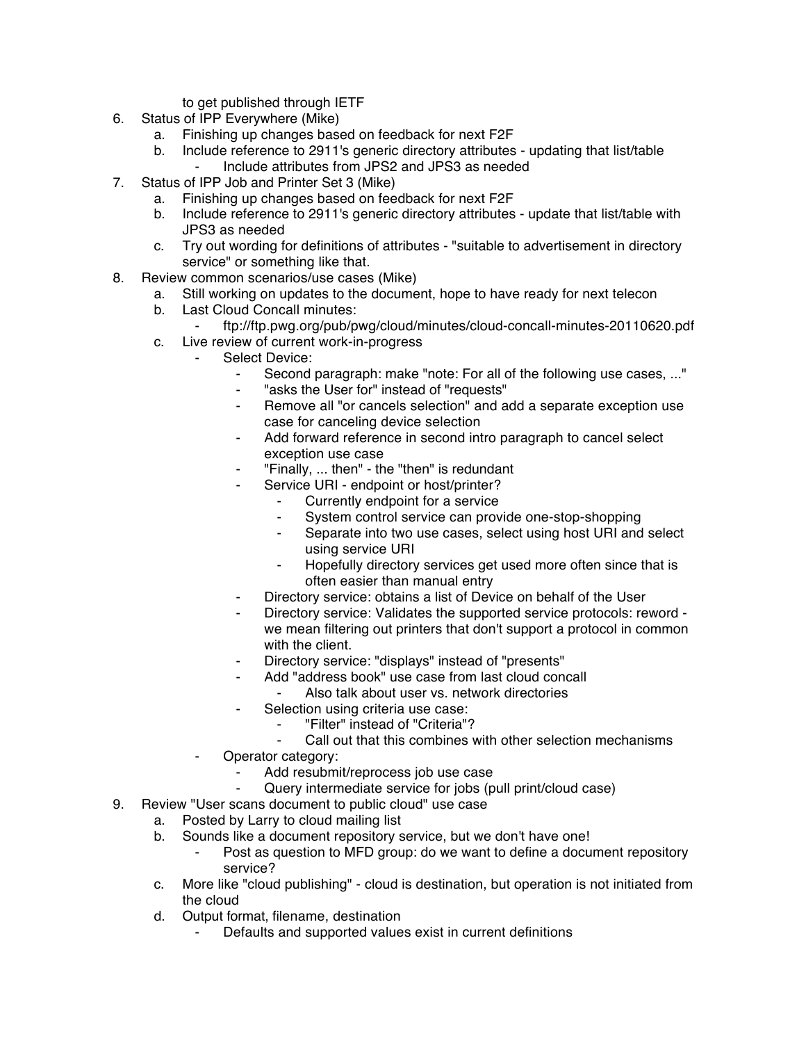to get published through IETF

- 6. Status of IPP Everywhere (Mike)
	- a. Finishing up changes based on feedback for next F2F
	- b. Include reference to 2911's generic directory attributes updating that list/table Include attributes from JPS2 and JPS3 as needed
- 7. Status of IPP Job and Printer Set 3 (Mike)
	- a. Finishing up changes based on feedback for next F2F
	- b. Include reference to 2911's generic directory attributes update that list/table with JPS3 as needed
	- c. Try out wording for definitions of attributes "suitable to advertisement in directory service" or something like that.
- 8. Review common scenarios/use cases (Mike)
	- a. Still working on updates to the document, hope to have ready for next telecon
	- b. Last Cloud Concall minutes:
		- ⁃ ftp://ftp.pwg.org/pub/pwg/cloud/minutes/cloud-concall-minutes-20110620.pdf
	- c. Live review of current work-in-progress
		- Select Device:
			- Second paragraph: make "note: For all of the following use cases, ..."
			- "asks the User for" instead of "requests"
			- ⁃ Remove all "or cancels selection" and add a separate exception use case for canceling device selection
			- Add forward reference in second intro paragraph to cancel select exception use case
			- "Finally, ... then" the "then" is redundant
				- Service URI endpoint or host/printer?
					- Currently endpoint for a service
					- ⁃ System control service can provide one-stop-shopping
					- Separate into two use cases, select using host URI and select using service URI
					- Hopefully directory services get used more often since that is often easier than manual entry
			- Directory service: obtains a list of Device on behalf of the User
			- ⁃ Directory service: Validates the supported service protocols: reword we mean filtering out printers that don't support a protocol in common with the client.
			- Directory service: "displays" instead of "presents"
			- Add "address book" use case from last cloud concall
			- Also talk about user vs. network directories
			- Selection using criteria use case:
				- ⁃ "Filter" instead of "Criteria"?
				- Call out that this combines with other selection mechanisms
		- Operator category:
			- **EXECUTE:**<br>Add resubmit/reprocess job use case<br>**Cutery intermediate service for jobs (p**
			- Query intermediate service for jobs (pull print/cloud case)
- 9. Review "User scans document to public cloud" use case
	- a. Posted by Larry to cloud mailing list
	- b. Sounds like a document repository service, but we don't have one!
		- ⁃ Post as question to MFD group: do we want to define a document repository service?
	- c. More like "cloud publishing" cloud is destination, but operation is not initiated from the cloud
	- d. Output format, filename, destination
		- Defaults and supported values exist in current definitions